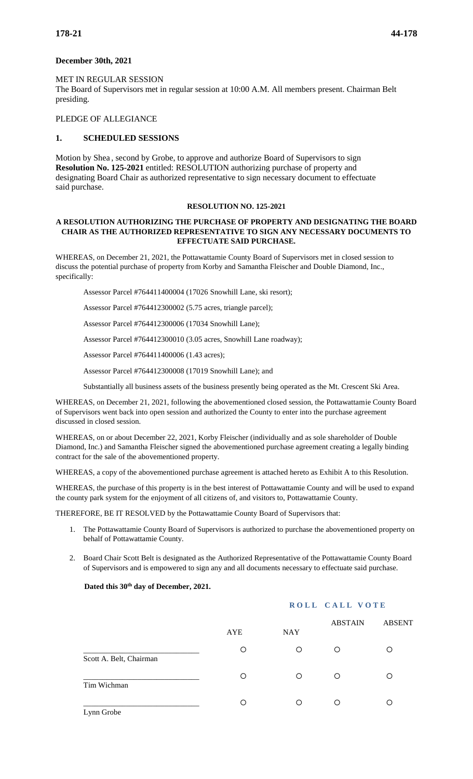## **December 30th, 2021**

# MET IN REGULAR SESSION

The Board of Supervisors met in regular session at 10:00 A.M. All members present. Chairman Belt presiding.

#### PLEDGE OF ALLEGIANCE

# **1. SCHEDULED SESSIONS**

Motion by Shea , second by Grobe, to approve and authorize Board of Supervisors to sign **Resolution No. 125-2021** entitled: RESOLUTION authorizing purchase of property and designating Board Chair as authorized representative to sign necessary document to effectuate said purchase.

#### **RESOLUTION NO. 125-2021**

### **A RESOLUTION AUTHORIZING THE PURCHASE OF PROPERTY AND DESIGNATING THE BOARD CHAIR AS THE AUTHORIZED REPRESENTATIVE TO SIGN ANY NECESSARY DOCUMENTS TO EFFECTUATE SAID PURCHASE.**

WHEREAS, on December 21, 2021, the Pottawattamie County Board of Supervisors met in closed session to discuss the potential purchase of property from Korby and Samantha Fleischer and Double Diamond, Inc., specifically:

Assessor Parcel #764411400004 (17026 Snowhill Lane, ski resort);

Assessor Parcel #764412300002 (5.75 acres, triangle parcel);

Assessor Parcel #764412300006 (17034 Snowhill Lane);

Assessor Parcel #764412300010 (3.05 acres, Snowhill Lane roadway);

Assessor Parcel #764411400006 (1.43 acres);

Assessor Parcel #764412300008 (17019 Snowhill Lane); and

Substantially all business assets of the business presently being operated as the Mt. Crescent Ski Area.

WHEREAS, on December 21, 2021, following the abovementioned closed session, the Pottawattamie County Board of Supervisors went back into open session and authorized the County to enter into the purchase agreement discussed in closed session.

WHEREAS, on or about December 22, 2021, Korby Fleischer (individually and as sole shareholder of Double Diamond, Inc.) and Samantha Fleischer signed the abovementioned purchase agreement creating a legally binding contract for the sale of the abovementioned property.

WHEREAS, a copy of the abovementioned purchase agreement is attached hereto as Exhibit A to this Resolution.

WHEREAS, the purchase of this property is in the best interest of Pottawattamie County and will be used to expand the county park system for the enjoyment of all citizens of, and visitors to, Pottawattamie County.

THEREFORE, BE IT RESOLVED by the Pottawattamie County Board of Supervisors that:

- 1. The Pottawattamie County Board of Supervisors is authorized to purchase the abovementioned property on behalf of Pottawattamie County.
- 2. Board Chair Scott Belt is designated as the Authorized Representative of the Pottawattamie County Board of Supervisors and is empowered to sign any and all documents necessary to effectuate said purchase.

#### **Dated this 30th day of December, 2021.**

|                         |     |            | ROLL CALL VOTE |               |  |
|-------------------------|-----|------------|----------------|---------------|--|
|                         | AYE | <b>NAY</b> | <b>ABSTAIN</b> | <b>ABSENT</b> |  |
| Scott A. Belt, Chairman | O   | O          | O              | O             |  |
| Tim Wichman             | O   | $\circ$    | ∩              | Ω             |  |
| Lynn Grobe              | Ο   | $\circ$    | ∩              | Ω             |  |